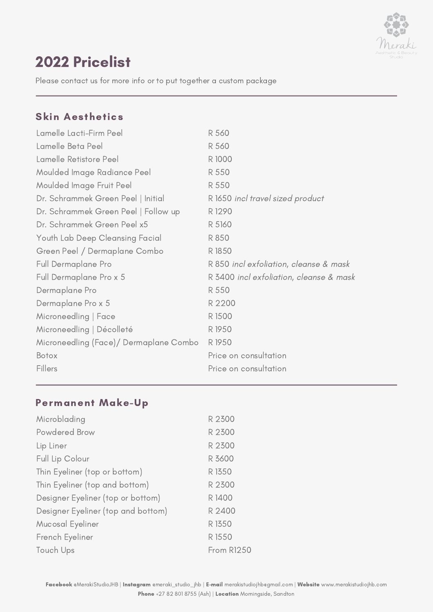

# 2022 Pricelist

Please contact us for more info or to put together a custom package

### Skin Aesthetics

| Lamelle Lacti-Firm Peel                | R 560                                   |
|----------------------------------------|-----------------------------------------|
| Lamelle Beta Peel                      | R 560                                   |
| Lamelle Retistore Peel                 | R 1000                                  |
| Moulded Image Radiance Peel            | R 550                                   |
| Moulded Image Fruit Peel               | R 550                                   |
| Dr. Schrammek Green Peel   Initial     | R 1650 incl travel sized product        |
| Dr. Schrammek Green Peel   Follow up   | R 1290                                  |
| Dr. Schrammek Green Peel x5            | R 5160                                  |
| Youth Lab Deep Cleansing Facial        | R 850                                   |
| Green Peel / Dermaplane Combo          | R 1850                                  |
| Full Dermaplane Pro                    | R 850 incl exfoliation, cleanse & mask  |
| Full Dermaplane Pro x 5                | R 3400 incl exfoliation, cleanse & mask |
| Dermaplane Pro                         | R 550                                   |
| Dermaplane Pro x 5                     | R 2200                                  |
| Microneedling   Face                   | R 1500                                  |
| Microneedling   Décolleté              | R 1950                                  |
| Microneedling (Face)/ Dermaplane Combo | R 1950                                  |
| Botox                                  | Price on consultation                   |
| Fillers                                | Price on consultation                   |

## Permanent Make-Up

| Microblading                       | R 2300            |
|------------------------------------|-------------------|
| Powdered Brow                      | R 2300            |
| Lip Liner                          | R 2300            |
| Full Lip Colour                    | R 3600            |
| Thin Eyeliner (top or bottom)      | R 1350            |
| Thin Eyeliner (top and bottom)     | R 2300            |
| Designer Eyeliner (top or bottom)  | R 1400            |
| Designer Eyeliner (top and bottom) | R 2400            |
| Mucosal Eyeliner                   | R 1350            |
| French Eyeliner                    | R 1550            |
| Touch Ups                          | <b>From R1250</b> |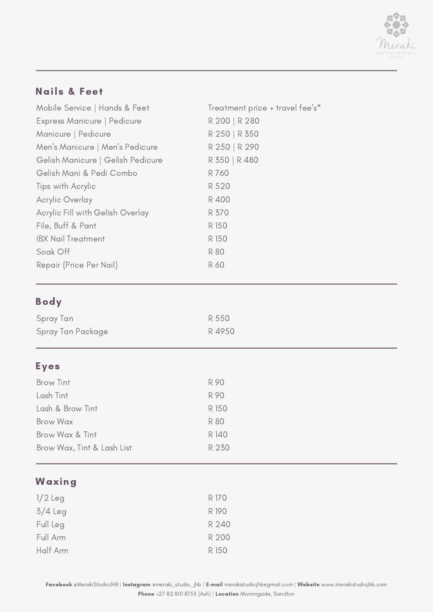

## Nails & Feet

| Mobile Service   Hands & Feet     | Treatment price + travel fee's* |
|-----------------------------------|---------------------------------|
| Express Manicure   Pedicure       | R 200   R 280                   |
| Manicure   Pedicure               | R 250   R 350                   |
| Men's Manicure   Men's Pedicure   | R 250   R 290                   |
| Gelish Manicure   Gelish Pedicure | R 350   R 480                   |
| Gelish Mani & Pedi Combo          | R 760                           |
| Tips with Acrylic                 | R 520                           |
| <b>Acrylic Overlay</b>            | R 400                           |
| Acrylic Fill with Gelish Overlay  | R 370                           |
| File, Buff & Pant                 | R 150                           |
| <b>IBX Nail Treatment</b>         | R 150                           |
| Soak Off                          | <b>R80</b>                      |
| Repair (Price Per Nail)           | R 60                            |

# Body

| Spray Tan         | R 550 |
|-------------------|-------|
| Spray Tan Package | R4950 |

## Eyes

| Brow Tint                  | R 90       |
|----------------------------|------------|
| Lash Tint                  | R 90       |
| Lash & Brow Tint           | R 150      |
| <b>Brow Wax</b>            | <b>R80</b> |
| Brow Wax & Tint            | R 140      |
| Brow Wax, Tint & Lash List | R 230      |
|                            |            |

## Waxing

| $1/2$ Leg | R 170 |
|-----------|-------|
| $3/4$ Leg | R 190 |
| Full Leg  | R 240 |
| Full Arm  | R 200 |
| Half Arm  | R 150 |